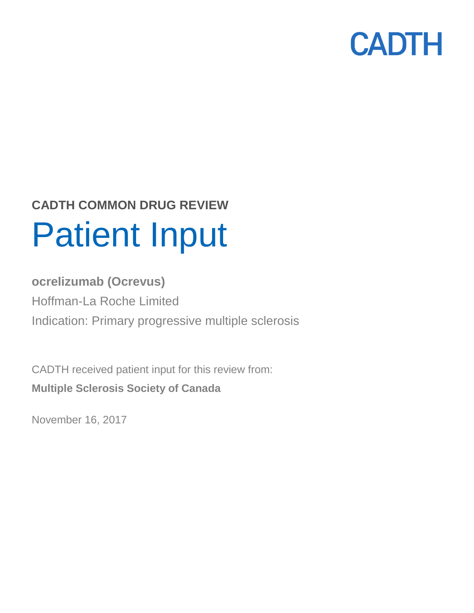

# **CADTH COMMON DRUG REVIEW** Patient Input

## **ocrelizumab (Ocrevus)** Hoffman-La Roche Limited Indication: Primary progressive multiple sclerosis

CADTH received patient input for this review from: **Multiple Sclerosis Society of Canada**

November 16, 2017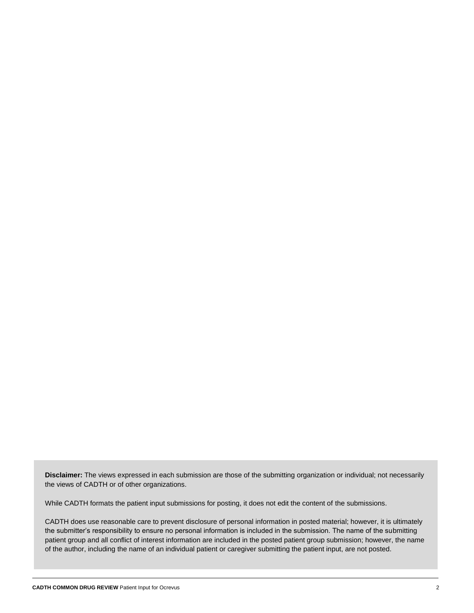**Disclaimer:** The views expressed in each submission are those of the submitting organization or individual; not necessarily the views of CADTH or of other organizations.

While CADTH formats the patient input submissions for posting, it does not edit the content of the submissions.

CADTH does use reasonable care to prevent disclosure of personal information in posted material; however, it is ultimately the submitter's responsibility to ensure no personal information is included in the submission. The name of the submitting patient group and all conflict of interest information are included in the posted patient group submission; however, the name of the author, including the name of an individual patient or caregiver submitting the patient input, are not posted.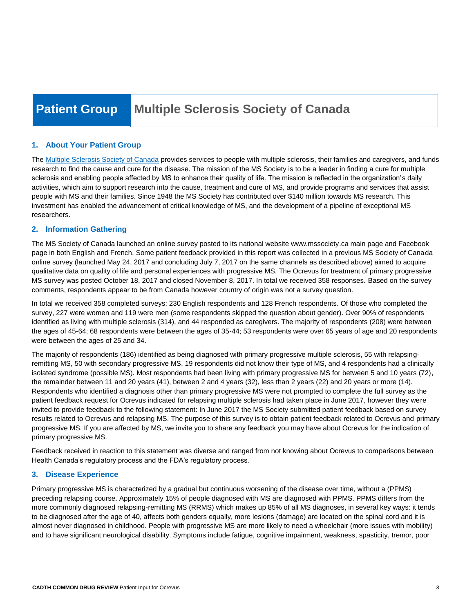## **Patient Group Multiple Sclerosis Society of Canada**

#### **1. About Your Patient Group**

The [Multiple Sclerosis Society of Canada](http://www.mssociety.ca/) provides services to people with multiple sclerosis, their families and caregivers, and funds research to find the cause and cure for the disease. The mission of the MS Society is to be a leader in finding a cure for multiple sclerosis and enabling people affected by MS to enhance their quality of life. The mission is reflected in the organization's daily activities, which aim to support research into the cause, treatment and cure of MS, and provide programs and services that assist people with MS and their families. Since 1948 the MS Society has contributed over \$140 million towards MS research. This investment has enabled the advancement of critical knowledge of MS, and the development of a pipeline of exceptional MS researchers.

#### **2. Information Gathering**

The MS Society of Canada launched an online survey posted to its national website www.mssociety.ca main page and Facebook page in both English and French. Some patient feedback provided in this report was collected in a previous MS Society of Canada online survey (launched May 24, 2017 and concluding July 7, 2017 on the same channels as described above) aimed to acquire qualitative data on quality of life and personal experiences with progressive MS. The Ocrevus for treatment of primary progressive MS survey was posted October 18, 2017 and closed November 8, 2017. In total we received 358 responses. Based on the survey comments, respondents appear to be from Canada however country of origin was not a survey question.

In total we received 358 completed surveys; 230 English respondents and 128 French respondents. Of those who completed the survey, 227 were women and 119 were men (some respondents skipped the question about gender). Over 90% of respondents identified as living with multiple sclerosis (314), and 44 responded as caregivers. The majority of respondents (208) were between the ages of 45-64; 68 respondents were between the ages of 35-44; 53 respondents were over 65 years of age and 20 respondents were between the ages of 25 and 34.

The majority of respondents (186) identified as being diagnosed with primary progressive multiple sclerosis, 55 with relapsingremitting MS, 50 with secondary progressive MS, 19 respondents did not know their type of MS, and 4 respondents had a clinically isolated syndrome (possible MS). Most respondents had been living with primary progressive MS for between 5 and 10 years (72), the remainder between 11 and 20 years (41), between 2 and 4 years (32), less than 2 years (22) and 20 years or more (14). Respondents who identified a diagnosis other than primary progressive MS were not prompted to complete the full survey as the patient feedback request for Ocrevus indicated for relapsing multiple sclerosis had taken place in June 2017, however they were invited to provide feedback to the following statement: In June 2017 the MS Society submitted patient feedback based on survey results related to Ocrevus and relapsing MS. The purpose of this survey is to obtain patient feedback related to Ocrevus and primary progressive MS. If you are affected by MS, we invite you to share any feedback you may have about Ocrevus for the indication of primary progressive MS.

Feedback received in reaction to this statement was diverse and ranged from not knowing about Ocrevus to comparisons between Health Canada's regulatory process and the FDA's regulatory process.

#### **3. Disease Experience**

Primary progressive MS is characterized by a gradual but continuous worsening of the disease over time, without a (PPMS) preceding relapsing course. Approximately 15% of people diagnosed with MS are diagnosed with PPMS. PPMS differs from the more commonly diagnosed relapsing-remitting MS (RRMS) which makes up 85% of all MS diagnoses, in several key ways: it tends to be diagnosed after the age of 40, affects both genders equally, more lesions (damage) are located on the spinal cord and it is almost never diagnosed in childhood. People with progressive MS are more likely to need a wheelchair (more issues with mobility) and to have significant neurological disability. Symptoms include fatigue, cognitive impairment, weakness, spasticity, tremor, poor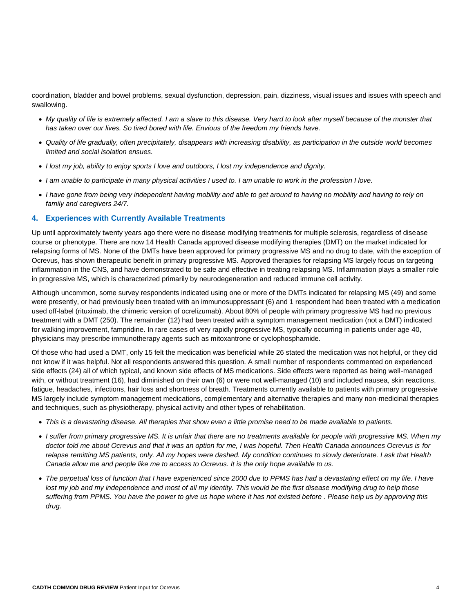coordination, bladder and bowel problems, sexual dysfunction, depression, pain, dizziness, visual issues and issues with speech and swallowing.

- *My quality of life is extremely affected. I am a slave to this disease. Very hard to look after myself because of the monster that has taken over our lives. So tired bored with life. Envious of the freedom my friends have.*
- *Quality of life gradually, often precipitately, disappears with increasing disability, as participation in the outside world becomes limited and social isolation ensues.*
- *I lost my job, ability to enjoy sports I love and outdoors, I lost my independence and dignity.*
- *I am unable to participate in many physical activities I used to. I am unable to work in the profession I love.*
- *I have gone from being very independent having mobility and able to get around to having no mobility and having to rely on family and caregivers 24/7.*

#### **4. Experiences with Currently Available Treatments**

Up until approximately twenty years ago there were no disease modifying treatments for multiple sclerosis, regardless of disease course or phenotype. There are now 14 Health Canada approved disease modifying therapies (DMT) on the market indicated for relapsing forms of MS. None of the DMTs have been approved for primary progressive MS and no drug to date, with the exception of Ocrevus, has shown therapeutic benefit in primary progressive MS. Approved therapies for relapsing MS largely focus on targeting inflammation in the CNS, and have demonstrated to be safe and effective in treating relapsing MS. Inflammation plays a smaller role in progressive MS, which is characterized primarily by neurodegeneration and reduced immune cell activity.

Although uncommon, some survey respondents indicated using one or more of the DMTs indicated for relapsing MS (49) and some were presently, or had previously been treated with an immunosuppressant (6) and 1 respondent had been treated with a medication used off-label (rituximab, the chimeric version of ocrelizumab). About 80% of people with primary progressive MS had no previous treatment with a DMT (250). The remainder (12) had been treated with a symptom management medication (not a DMT) indicated for walking improvement, fampridine. In rare cases of very rapidly progressive MS, typically occurring in patients under age 40, physicians may prescribe immunotherapy agents such as mitoxantrone or cyclophosphamide.

Of those who had used a DMT, only 15 felt the medication was beneficial while 26 stated the medication was not helpful, or they did not know if it was helpful. Not all respondents answered this question. A small number of respondents commented on experienced side effects (24) all of which typical, and known side effects of MS medications. Side effects were reported as being well-managed with, or without treatment (16), had diminished on their own (6) or were not well-managed (10) and included nausea, skin reactions, fatigue, headaches, infections, hair loss and shortness of breath. Treatments currently available to patients with primary progressive MS largely include symptom management medications, complementary and alternative therapies and many non-medicinal therapies and techniques, such as physiotherapy, physical activity and other types of rehabilitation.

- *This is a devastating disease. All therapies that show even a little promise need to be made available to patients.*
- *I suffer from primary progressive MS. It is unfair that there are no treatments available for people with progressive MS. When my doctor told me about Ocrevus and that it was an option for me, I was hopeful. Then Health Canada announces Ocrevus is for relapse remitting MS patients, only. All my hopes were dashed. My condition continues to slowly deteriorate. I ask that Health Canada allow me and people like me to access to Ocrevus. It is the only hope available to us.*
- *The perpetual loss of function that I have experienced since 2000 due to PPMS has had a devastating effect on my life. I have lost my job and my independence and most of all my identity. This would be the first disease modifying drug to help those suffering from PPMS. You have the power to give us hope where it has not existed before . Please help us by approving this drug.*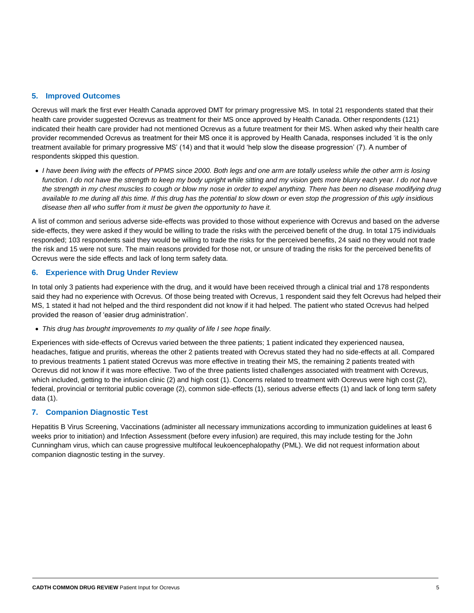#### **5. Improved Outcomes**

Ocrevus will mark the first ever Health Canada approved DMT for primary progressive MS. In total 21 respondents stated that their health care provider suggested Ocrevus as treatment for their MS once approved by Health Canada. Other respondents (121) indicated their health care provider had not mentioned Ocrevus as a future treatment for their MS. When asked why their health care provider recommended Ocrevus as treatment for their MS once it is approved by Health Canada, responses included 'it is the only treatment available for primary progressive MS' (14) and that it would 'help slow the disease progression' (7). A number of respondents skipped this question.

 *I have been living with the effects of PPMS since 2000. Both legs and one arm are totally useless while the other arm is losing*  function. I do not have the strength to keep my body upright while sitting and my vision gets more blurry each year. I do not have *the strength in my chest muscles to cough or blow my nose in order to expel anything. There has been no disease modifying drug available to me during all this time. If this drug has the potential to slow down or even stop the progression of this ugly insidious disease then all who suffer from it must be given the opportunity to have it.*

A list of common and serious adverse side-effects was provided to those without experience with Ocrevus and based on the adverse side-effects, they were asked if they would be willing to trade the risks with the perceived benefit of the drug. In total 175 individuals responded; 103 respondents said they would be willing to trade the risks for the perceived benefits, 24 said no they would not trade the risk and 15 were not sure. The main reasons provided for those not, or unsure of trading the risks for the perceived benefits of Ocrevus were the side effects and lack of long term safety data.

#### **6. Experience with Drug Under Review**

In total only 3 patients had experience with the drug, and it would have been received through a clinical trial and 178 respondents said they had no experience with Ocrevus. Of those being treated with Ocrevus, 1 respondent said they felt Ocrevus had helped their MS, 1 stated it had not helped and the third respondent did not know if it had helped. The patient who stated Ocrevus had helped provided the reason of 'easier drug administration'.

*This drug has brought improvements to my quality of life I see hope finally.*

Experiences with side-effects of Ocrevus varied between the three patients; 1 patient indicated they experienced nausea, headaches, fatigue and pruritis, whereas the other 2 patients treated with Ocrevus stated they had no side-effects at all. Compared to previous treatments 1 patient stated Ocrevus was more effective in treating their MS, the remaining 2 patients treated with Ocrevus did not know if it was more effective. Two of the three patients listed challenges associated with treatment with Ocrevus, which included, getting to the infusion clinic (2) and high cost (1). Concerns related to treatment with Ocrevus were high cost (2), federal, provincial or territorial public coverage (2), common side-effects (1), serious adverse effects (1) and lack of long term safety data (1).

#### **7. Companion Diagnostic Test**

Hepatitis B Virus Screening, Vaccinations (administer all necessary immunizations according to immunization guidelines at least 6 weeks prior to initiation) and Infection Assessment (before every infusion) are required, this may include testing for the John Cunningham virus, which can cause progressive multifocal leukoencephalopathy (PML). We did not request information about companion diagnostic testing in the survey.